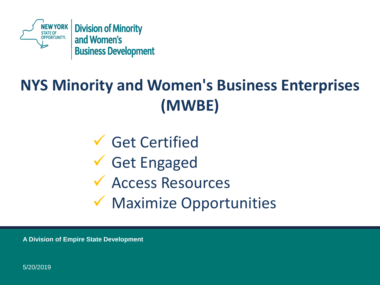

# **NYS Minority and Women's Business Enterprises (MWBE)**

✓ Get Certified ✓ Get Engaged ✓ Access Resources ✓ Maximize Opportunities

**A Division of Empire State Development** 

5/20/2019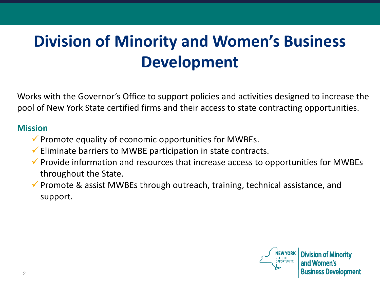# **Division of Minority and Women's Business Development**

Works with the Governor's Office to support policies and activities designed to increase the pool of New York State certified firms and their access to state contracting opportunities.

#### **Mission**

- $\checkmark$  Promote equality of economic opportunities for MWBEs.
- $\checkmark$  Eliminate barriers to MWBE participation in state contracts.
- $\checkmark$  Provide information and resources that increase access to opportunities for MWBEs throughout the State.
- $\checkmark$  Promote & assist MWBEs through outreach, training, technical assistance, and support.

STATE OF<br>OPPORTUNITY.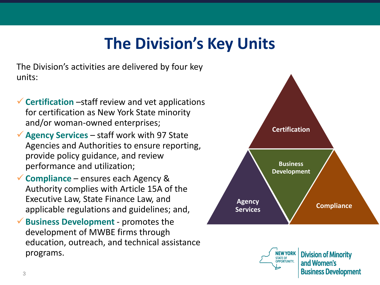### **The Division's Key Units**

The Division's activities are delivered by four key units:

- ✓**Certification** –staff review and vet applications for certification as New York State minority and/or woman-owned enterprises;
- ✓**Agency Services**  staff work with 97 State Agencies and Authorities to ensure reporting, provide policy guidance, and review performance and utilization;
- ✓**Compliance**  ensures each Agency & Authority complies with Article 15A of the Executive Law, State Finance Law, and applicable regulations and guidelines; and,
- ✓**Business Development**  promotes the development of MWBE firms through education, outreach, and technical assistance programs.



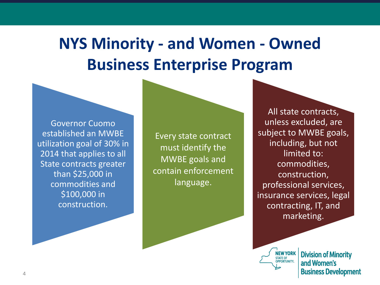## **NYS Minority - and Women - Owned Business Enterprise Program**

Governor Cuomo established an MWBE utilization goal of 30% in 2014 that applies to all State contracts greater than \$25,000 in commodities and \$100,000 in construction.

Every state contract must identify the MWBE goals and contain enforcement language.

All state contracts, unless excluded, are subject to MWBE goals, including, but not limited to: commodities, construction, professional services, insurance services, legal contracting, IT, and marketing.

**NEW YORK** STATE OF<br>OPPORTUNITY.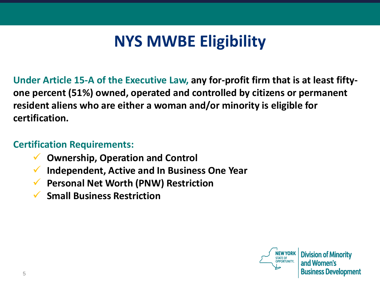### **NYS MWBE Eligibility**

**Under Article 15-A of the Executive Law, any for-profit firm that is at least fiftyone percent (51%) owned, operated and controlled by citizens or permanent resident aliens who are either a woman and/or minority is eligible for certification.**

#### **Certification Requirements:**

- ✓ **Ownership, Operation and Control**
- ✓ **Independent, Active and In Business One Year**
- ✓ **Personal Net Worth (PNW) Restriction**
- ✓ **Small Business Restriction**

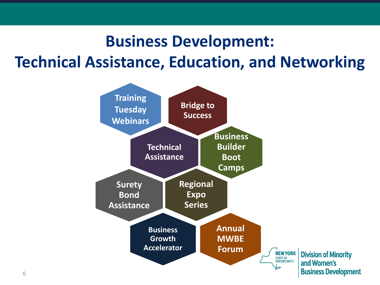## **Business Development: Technical Assistance, Education, and Networking**

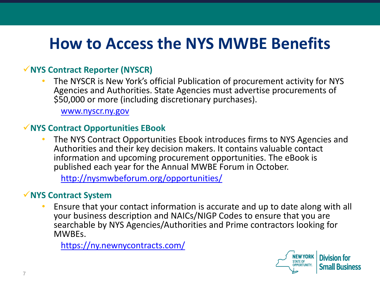### **How to Access the NYS MWBE Benefits**

#### ✓**NYS Contract Reporter (NYSCR)**

• The NYSCR is New York's official Publication of procurement activity for NYS Agencies and Authorities. State Agencies must advertise procurements of \$50,000 or more (including discretionary purchases).

[www.nyscr.ny.gov](http://www.nyscr.ny.gov/)

#### ✓**NYS Contract Opportunities EBook**

• The NYS Contract Opportunities Ebook introduces firms to NYS Agencies and Authorities and their key decision makers. It contains valuable contact information and upcoming procurement opportunities. The eBook is published each year for the Annual MWBE Forum in October.

<http://nysmwbeforum.org/opportunities/>

#### ✓**NYS Contract System**

• Ensure that your contact information is accurate and up to date along with all your business description and NAICs/NIGP Codes to ensure that you are searchable by NYS Agencies/Authorities and Prime contractors looking for MWBEs.

<https://ny.newnycontracts.com/>

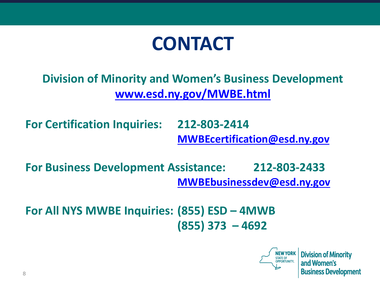

### **Division of Minority and Women's Business Development [www.esd.ny.gov/MWBE.html](http://www.esd.ny.gov/MWBE.html)**

**For Certification Inquiries: 212-803-2414 [MWBEcertification@esd.ny.gov](mailto:MWBEcertification@esd.ny.gov)**

**For Business Development Assistance: 212-803-2433 [MWBEbusinessdev@esd.ny.gov](mailto:MWBEbusinessdev@esd.ny.gov)**

**For All NYS MWBE Inquiries: (855) ESD – 4MWB (855) 373 – 4692**

**NEW YORK**<br>
STATE OF<br>
OPPORTUNITY.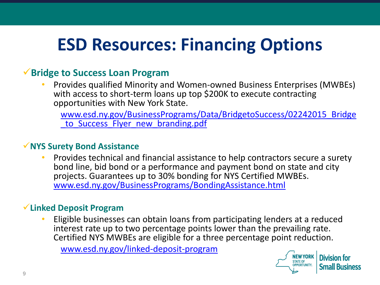# **ESD Resources: Financing Options**

#### ✓**Bridge to Success Loan Program**

• Provides qualified Minority and Women-owned Business Enterprises (MWBEs) with access to short-term loans up top \$200K to execute contracting opportunities with New York State.

[www.esd.ny.gov/BusinessPrograms/Data/BridgetoSuccess/02242015\\_Bridge](http://www.esd.ny.gov/BusinessPrograms/Data/BridgetoSuccess/02242015_Bridge_to_Success_Flyer_new_branding.pdf) to Success Flyer new branding.pdf

#### ✓**NYS Surety Bond Assistance**

• Provides technical and financial assistance to help contractors secure a surety bond line, bid bond or a performance and payment bond on state and city projects. Guarantees up to 30% bonding for NYS Certified MWBEs. [www.esd.ny.gov/BusinessPrograms/BondingAssistance.html](http://www.esd.ny.gov/BusinessPrograms/BondingAssistance.html)

#### ✓**Linked Deposit Program**

• Eligible businesses can obtain loans from participating lenders at a reduced interest rate up to two percentage points lower than the prevailing rate. Certified NYS MWBEs are eligible for a three percentage point reduction.

[www.esd.ny.gov/linked-deposit-program](http://www.esd.ny.gov/linked-deposit-program)